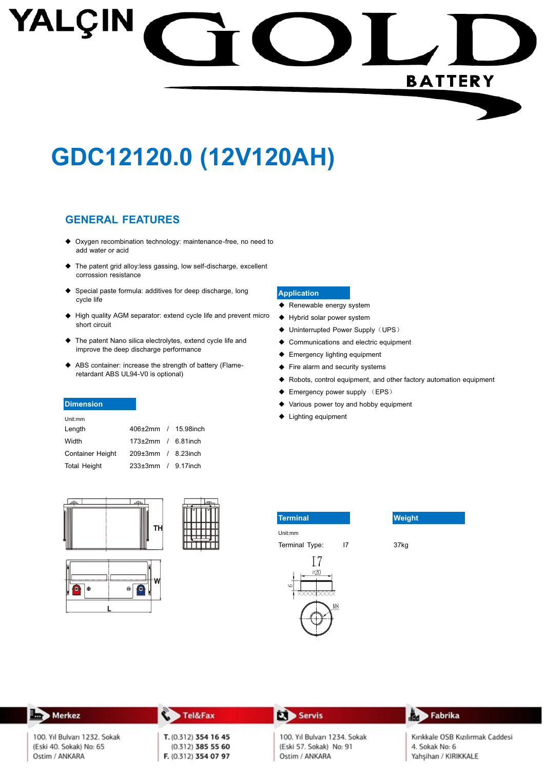# YALÇIN **BATTERY**

## GDC12120.0 (12V120AH)

#### **GENERAL FEATURES**

- ◆ Oxygen recombination technology: maintenance-free, no need to add water or acid
- ◆ The patent grid alloy:less gassing, low self-discharge, excellent corrossion resistance
- ◆ Special paste formula: additives for deep discharge, long cycle life
- High quality AGM separator: extend cycle life and prevent micro short circuit
- ◆ The patent Nano silica electrolytes, extend cycle life and improve the deep discharge performance
- ◆ ABS container: increase the strength of battery (Flameretardant ABS UL94-V0 is optional)

#### **Dimension**

| Unit:mm                 |                                   |  |
|-------------------------|-----------------------------------|--|
| Length                  | 406±2mm / 15.98inch               |  |
| Width                   | $173 \pm 2 \text{mm}$ / 6.81 inch |  |
| <b>Container Height</b> | $209\pm 3$ mm / 8.23 inch         |  |
| <b>Total Height</b>     | $233\pm3$ mm / 9.17 inch          |  |















Terminal Type:





37kg

**Tel&Fax** J. Servis Fabrika Merkez Ëа 100. Yıl Bulvarı 1232. Sokak T. (0.312) 354 16 45 100. Yıl Bulvarı 1234. Sokak Kırıkkale OSB Kızılırmak Caddesi (Eski 40. Sokak) No: 65  $(0.312)$  385 55 60 (Eski 57. Sokak) No: 91 4. Sokak No: 6 F. (0.312) 354 07 97 Yahşihan / KIRIKKALE Ostim / ANKARA Ostim / ANKARA

#### **Application**

- ◆ Renewable energy system
- ♦ Hybrid solar power system
- ◆ Uninterrupted Power Supply (UPS)
- ♦ Communications and electric equipment
- ← Emergency lighting equipment
- Fire alarm and security systems
- ◆ Robots, control equipment, and other factory automation equipment
- ← Emergency power supply (EPS)
- Various power toy and hobby equipment  $\bullet$

 $\overline{17}$ 

◆ Lighting equipment